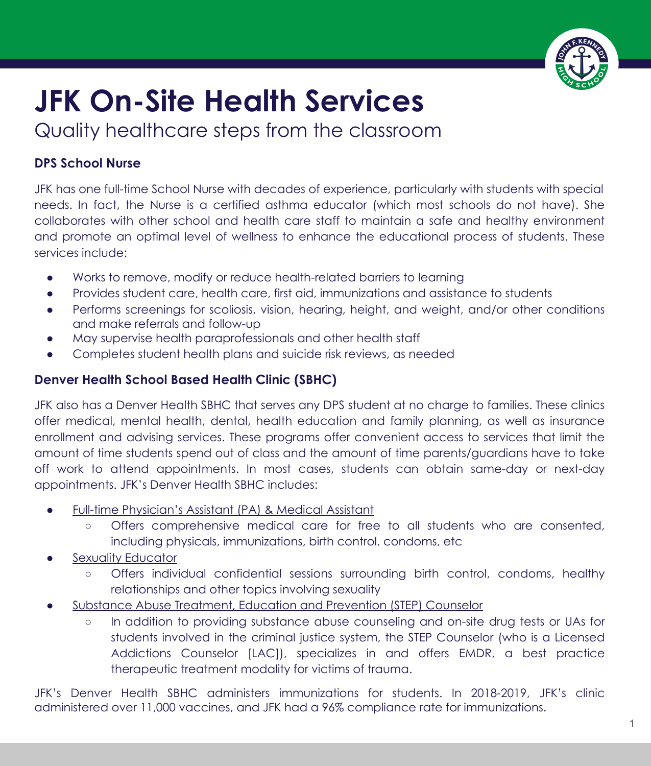

## **JFK On-Site Health Services**

Quality healthcare steps from the classroom

## **DPS School Nurse**

JFK has one full-time School Nurse with decades of experience, particularly with students with special needs. In fact, the Nurse is a certified asthma educator (which most schools do not have). She collaborates with other school and health care staff to maintain a safe and healthy environment and promote an optimal level of wellness to enhance the educational process of students. These services include:

- Works to remove, modify or reduce health-related barriers to learning
- Provides student care, health care, first aid, immunizations and assistance to students
- Performs screenings for scoliosis, vision, hearing, height, and weight, and/or other conditions and make referrals and follow-up
- May supervise health paraprofessionals and other health staff
- Completes student health plans and suicide risk reviews, as needed

## **Denver Health School Based Health Clinic (SBHC)**

JFK also has a Denver Health SBHC that serves any DPS student at no charge to families. These clinics offer medical, mental health, dental, health education and family planning, as well as insurance enrollment and advising services. These programs offer convenient access to services that limit the amount of time students spend out of class and the amount of time parents/guardians have to take off work to attend appointments. In most cases, students can obtain same-day or next-day appointments. JFK's Denver Health SBHC includes:

- Full-time Physician's Assistant (PA) & Medical Assistant
	- **○** Offers comprehensive medical care for free to all students who are consented, including physicals, immunizations, birth control, condoms, etc
- Sexuality Educator
	- Offers individual confidential sessions surrounding birth control, condoms, healthy relationships and other topics involving sexuality
- Substance Abuse Treatment, Education and Prevention (STEP) Counselor
	- In addition to providing substance abuse counseling and on-site drug tests or UAs for students involved in the criminal justice system, the STEP Counselor (who is a Licensed Addictions Counselor [LAC]), specializes in and offers EMDR, a best practice therapeutic treatment modality for victims of trauma.

JFK's Denver Health SBHC administers immunizations for students. In 2018-2019, JFK's clinic administered over 11,000 vaccines, and JFK had a 96% compliance rate for immunizations.